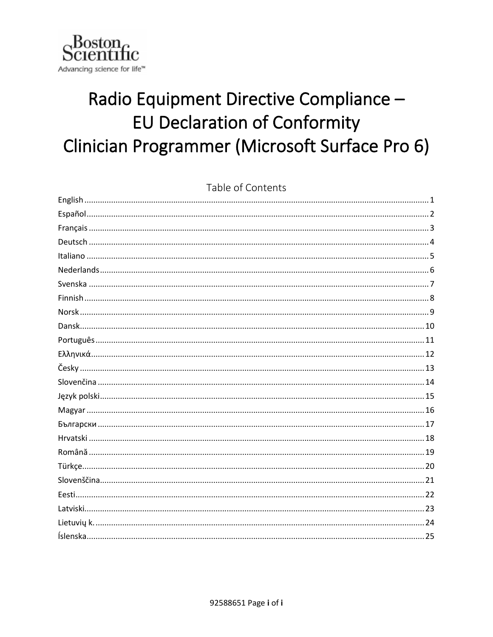

# Radio Equipment Directive Compliance -**EU Declaration of Conformity** Clinician Programmer (Microsoft Surface Pro 6)

| Table of Contents |
|-------------------|
|                   |
|                   |
|                   |
|                   |
|                   |
|                   |
|                   |
|                   |
|                   |
|                   |
|                   |
|                   |
|                   |
|                   |
|                   |
|                   |
|                   |
|                   |
|                   |
|                   |
|                   |
|                   |
|                   |
|                   |
|                   |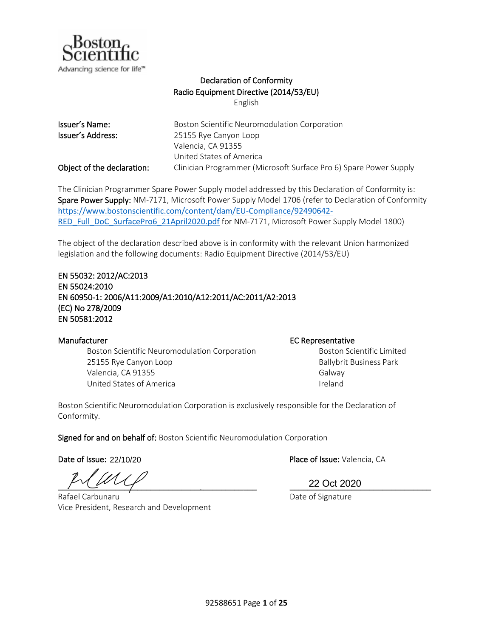

## Declaration of Conformity Radio Equipment Directive (2014/53/EU)

English

<span id="page-1-0"></span>

| Issuer's Name:             | Boston Scientific Neuromodulation Corporation                     |
|----------------------------|-------------------------------------------------------------------|
| Issuer's Address:          | 25155 Rye Canyon Loop                                             |
|                            | Valencia, CA 91355                                                |
|                            | United States of America                                          |
| Object of the declaration: | Clinician Programmer (Microsoft Surface Pro 6) Spare Power Supply |

The Clinician Programmer Spare Power Supply model addressed by this Declaration of Conformity is: Spare Power Supply: NM-7171, Microsoft Power Supply Model 1706 (refer to Declaration of Conformity [https://www.bostonscientific.com/content/dam/EU-Compliance/92490642-](https://www.bostonscientific.com/content/dam/EU-Compliance/92490642-RED_Full_DoC_SurfacePro6_21April2020.pdf) [RED\\_Full\\_DoC\\_SurfacePro6\\_21April2020.pdf](https://www.bostonscientific.com/content/dam/EU-Compliance/92490642-RED_Full_DoC_SurfacePro6_21April2020.pdf) for NM-7171, Microsoft Power Supply Model 1800)

The object of the declaration described above is in conformity with the relevant Union harmonized legislation and the following documents: Radio Equipment Directive (2014/53/EU)

### EN 55032: 2012/AC:2013 EN 55024:2010 EN 60950-1: 2006/A11:2009/A1:2010/A12:2011/AC:2011/A2:2013 (EC) No 278/2009 EN 50581:2012

Boston Scientific Neuromodulation Corporation **Boston Scientific Limited** 25155 Rye Canyon Loop **Ballybrit Business Park** Valencia, CA 91355 Galway United States of America **Ireland** 

### Manufacturer **EC Representative**

Boston Scientific Neuromodulation Corporation is exclusively responsible for the Declaration of Conformity.

Signed for and on behalf of: Boston Scientific Neuromodulation Corporation

Date of Issue: 22/10/20

\_\_\_\_\_\_\_\_\_\_\_\_\_\_\_\_\_\_\_\_\_\_\_\_\_\_\_\_\_\_\_\_\_\_\_\_\_\_\_\_\_\_\_\_\_ \_\_\_\_\_\_\_\_\_\_\_\_\_\_\_\_\_\_\_\_\_\_\_\_\_\_\_\_\_\_\_\_

Rafael Carbunaru Date of Signature Date of Signature Vice President, Research and Development

Place of Issue: Valencia, CA

22 Oct 2020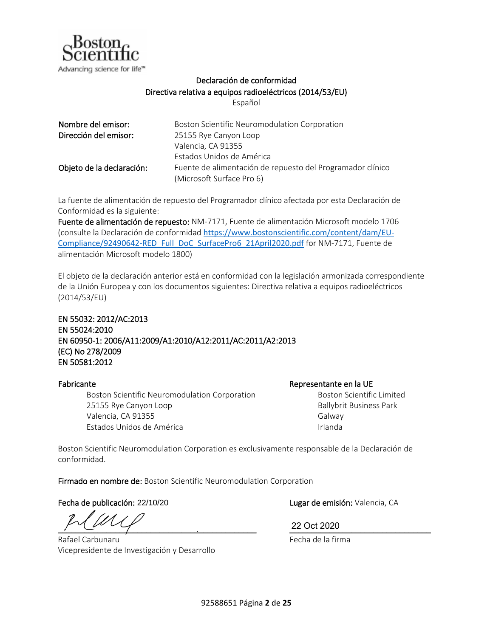

## Declaración de conformidad Directiva relativa a equipos radioeléctricos (2014/53/EU)

Español

| Nombre del emisor:        | Boston Scientific Neuromodulation Corporation              |
|---------------------------|------------------------------------------------------------|
| Dirección del emisor:     | 25155 Rye Canyon Loop                                      |
|                           | Valencia, CA 91355                                         |
|                           | Estados Unidos de América                                  |
| Objeto de la declaración: | Fuente de alimentación de repuesto del Programador clínico |
|                           | (Microsoft Surface Pro 6)                                  |

La fuente de alimentación de repuesto del Programador clínico afectada por esta Declaración de Conformidad es la siguiente:

Fuente de alimentación de repuesto: NM-7171, Fuente de alimentación Microsoft modelo 1706 (consulte la Declaración de conformidad [https://www.bostonscientific.com/content/dam/EU-](https://www.bostonscientific.com/content/dam/EU-Compliance/92490642-RED_Full_DoC_SurfacePro6_21April2020.pdf)[Compliance/92490642-RED\\_Full\\_DoC\\_SurfacePro6\\_21April2020.pdf](https://www.bostonscientific.com/content/dam/EU-Compliance/92490642-RED_Full_DoC_SurfacePro6_21April2020.pdf) for NM-7171, Fuente de alimentación Microsoft modelo 1800)

El objeto de la declaración anterior está en conformidad con la legislación armonizada correspondiente de la Unión Europea y con los documentos siguientes: Directiva relativa a equipos radioeléctricos (2014/53/EU)

EN 55032: 2012/AC:2013 EN 55024:2010 EN 60950-1: 2006/A11:2009/A1:2010/A12:2011/AC:2011/A2:2013 (EC) No 278/2009 EN 50581:2012

Boston Scientific Neuromodulation Corporation 25155 Rye Canyon Loop Valencia, CA 91355 Estados Unidos de América

Fabricante de la UE de la UE de la UE de la UE de la VE de la VE de la VE de la VE de la VE de la VE de la VE Boston Scientific Limited Ballybrit Business Park Galway Irlanda

Boston Scientific Neuromodulation Corporation es exclusivamente responsable de la Declaración de conformidad.

Firmado en nombre de: Boston Scientific Neuromodulation Corporation

Fecha de publicación: 22/10/20

 $\frac{22 \text{ Oct } 2020}$ 

Rafael Carbunaru Vicepresidente de Investigación y Desarrollo Lugar de emisión: Valencia, CA

22 Oct 2020

Fecha de la firma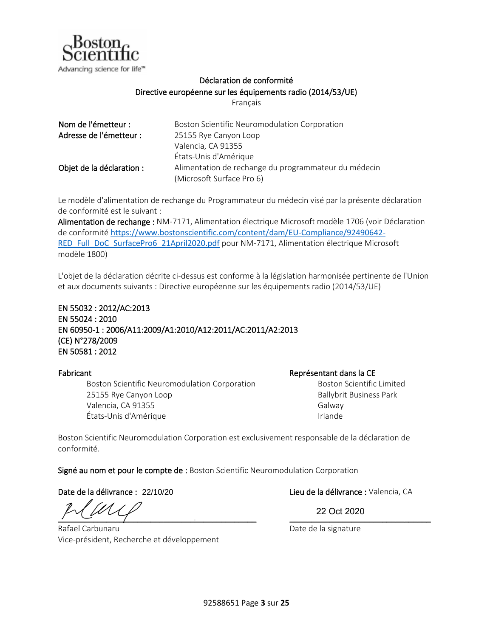

## Déclaration de conformité Directive européenne sur les équipements radio (2014/53/UE)

Français

| Nom de l'émetteur :       | Boston Scientific Neuromodulation Corporation        |
|---------------------------|------------------------------------------------------|
| Adresse de l'émetteur :   | 25155 Rye Canyon Loop                                |
|                           | Valencia, CA 91355                                   |
|                           | États-Unis d'Amérique                                |
| Objet de la déclaration : | Alimentation de rechange du programmateur du médecin |
|                           | (Microsoft Surface Pro 6)                            |

Le modèle d'alimentation de rechange du Programmateur du médecin visé par la présente déclaration de conformité est le suivant :

Alimentation de rechange : NM-7171, Alimentation électrique Microsoft modèle 1706 (voir Déclaration de conformité [https://www.bostonscientific.com/content/dam/EU-Compliance/92490642-](https://www.bostonscientific.com/content/dam/EU-Compliance/92490642-RED_Full_DoC_SurfacePro6_21April2020.pdf) [RED\\_Full\\_DoC\\_SurfacePro6\\_21April2020.pdf](https://www.bostonscientific.com/content/dam/EU-Compliance/92490642-RED_Full_DoC_SurfacePro6_21April2020.pdf) pour NM-7171, Alimentation électrique Microsoft modèle 1800)

L'objet de la déclaration décrite ci-dessus est conforme à la législation harmonisée pertinente de l'Union et aux documents suivants : Directive européenne sur les équipements radio (2014/53/UE)

EN 55032 : 2012/AC:2013 EN 55024 : 2010 EN 60950-1 : 2006/A11:2009/A1:2010/A12:2011/AC:2011/A2:2013 (CE) N°278/2009 EN 50581 : 2012

Boston Scientific Neuromodulation Corporation 25155 Rye Canyon Loop Valencia, CA 91355 États-Unis d'Amérique

Fabricant Représentant dans la CE

Boston Scientific Limited Ballybrit Business Park Galway Irlande

Boston Scientific Neuromodulation Corporation est exclusivement responsable de la déclaration de conformité.

Signé au nom et pour le compte de : Boston Scientific Neuromodulation Corporation

Date de la délivrance : 22/10/20

 $\frac{1}{2}$  . The state of  $\frac{1}{2}$ 

Rafael Carbunaru Vice-président, Recherche et développement

Lieu de la délivrance : Valencia, CA

22 Oct 2020

Date de la signature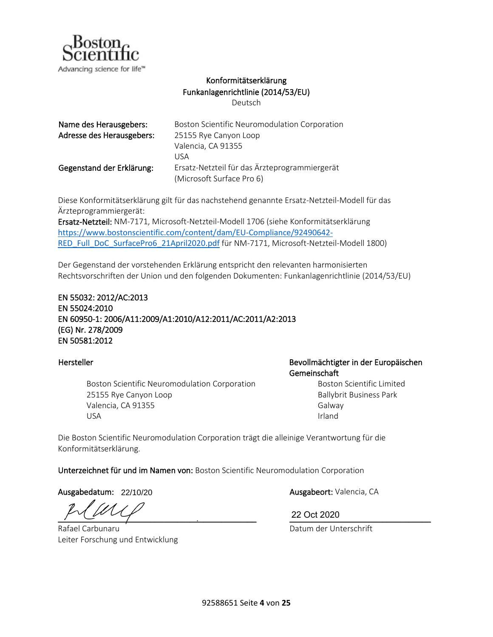

## Konformitätserklärung Funkanlagenrichtlinie (2014/53/EU)

Deutsch

| Name des Herausgebers:    | Boston Scientific Neuromodulation Corporation |
|---------------------------|-----------------------------------------------|
| Adresse des Herausgebers: | 25155 Rye Canyon Loop                         |
|                           | Valencia, CA 91355                            |
|                           | USA                                           |
| Gegenstand der Erklärung: | Ersatz-Netzteil für das Ärzteprogrammiergerät |
|                           | (Microsoft Surface Pro 6)                     |

Diese Konformitätserklärung gilt für das nachstehend genannte Ersatz-Netzteil-Modell für das Ärzteprogrammiergerät:

Ersatz-Netzteil: NM-7171, Microsoft-Netzteil-Modell 1706 (siehe Konformitätserklärung [https://www.bostonscientific.com/content/dam/EU-Compliance/92490642-](https://www.bostonscientific.com/content/dam/EU-Compliance/92490642-RED_Full_DoC_SurfacePro6_21April2020.pdf) [RED\\_Full\\_DoC\\_SurfacePro6\\_21April2020.pdf](https://www.bostonscientific.com/content/dam/EU-Compliance/92490642-RED_Full_DoC_SurfacePro6_21April2020.pdf) für NM-7171, Microsoft-Netzteil-Modell 1800)

Der Gegenstand der vorstehenden Erklärung entspricht den relevanten harmonisierten Rechtsvorschriften der Union und den folgenden Dokumenten: Funkanlagenrichtlinie (2014/53/EU)

## EN 55032: 2012/AC:2013 EN 55024:2010 EN 60950-1: 2006/A11:2009/A1:2010/A12:2011/AC:2011/A2:2013 (EG) Nr. 278/2009 EN 50581:2012

Boston Scientific Neuromodulation Corporation 25155 Rye Canyon Loop Valencia, CA 91355 USA

Hersteller Bevollmächtigter in der Europäischen Gemeinschaft

> Boston Scientific Limited Ballybrit Business Park Galway Irland

Die Boston Scientific Neuromodulation Corporation trägt die alleinige Verantwortung für die Konformitätserklärung.

Unterzeichnet für und im Namen von: Boston Scientific Neuromodulation Corporation

Ausgabedatum: 22/10/20 **Ausgabeort:** Valencia, CA

\_\_\_\_\_\_\_\_\_\_\_\_\_\_\_\_\_\_\_\_\_\_\_\_\_\_\_\_\_\_\_\_\_\_\_\_\_\_\_\_\_\_\_\_\_ \_\_\_\_\_\_\_\_\_\_\_\_\_\_\_\_\_\_\_\_\_\_\_\_\_\_\_\_\_\_\_\_

Rafael Carbunaru Leiter Forschung und Entwicklung

22 Oct 2020

Datum der Unterschrift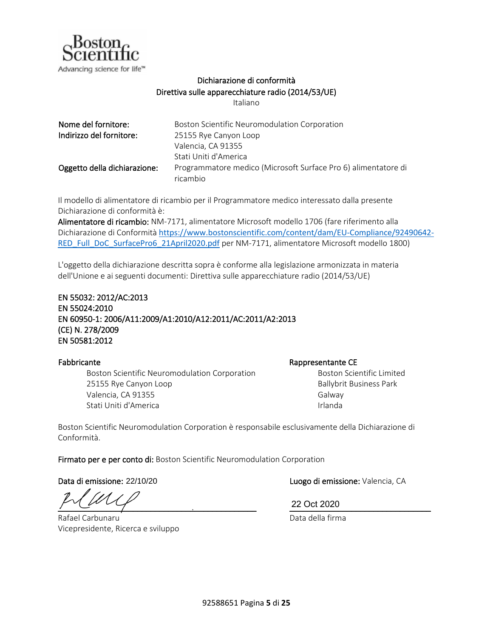

## Dichiarazione di conformità Direttiva sulle apparecchiature radio (2014/53/UE)

Italiano

| Nome del fornitore:          | Boston Scientific Neuromodulation Corporation                              |
|------------------------------|----------------------------------------------------------------------------|
| Indirizzo del fornitore:     | 25155 Rye Canyon Loop                                                      |
|                              | Valencia, CA 91355                                                         |
|                              | Stati Uniti d'America                                                      |
| Oggetto della dichiarazione: | Programmatore medico (Microsoft Surface Pro 6) alimentatore di<br>ricambio |

Il modello di alimentatore di ricambio per il Programmatore medico interessato dalla presente Dichiarazione di conformità è:

Alimentatore di ricambio: NM-7171, alimentatore Microsoft modello 1706 (fare riferimento alla Dichiarazione di Conformità [https://www.bostonscientific.com/content/dam/EU-Compliance/92490642-](https://www.bostonscientific.com/content/dam/EU-Compliance/92490642-RED_Full_DoC_SurfacePro6_21April2020.pdf) [RED\\_Full\\_DoC\\_SurfacePro6\\_21April2020.pdf](https://www.bostonscientific.com/content/dam/EU-Compliance/92490642-RED_Full_DoC_SurfacePro6_21April2020.pdf) per NM-7171, alimentatore Microsoft modello 1800)

L'oggetto della dichiarazione descritta sopra è conforme alla legislazione armonizzata in materia dell'Unione e ai seguenti documenti: Direttiva sulle apparecchiature radio (2014/53/UE)

EN 55032: 2012/AC:2013 EN 55024:2010 EN 60950-1: 2006/A11:2009/A1:2010/A12:2011/AC:2011/A2:2013 (CE) N. 278/2009 EN 50581:2012

Boston Scientific Neuromodulation Corporation 25155 Rye Canyon Loop Valencia, CA 91355 Stati Uniti d'America

### Fabbricante et al. et al. et al. et al. et al. et al. et al. et al. et al. et al. et al. et al. et al. et al. e

Boston Scientific Limited Ballybrit Business Park Galway Irlanda

Boston Scientific Neuromodulation Corporation è responsabile esclusivamente della Dichiarazione di Conformità.

Firmato per e per conto di: Boston Scientific Neuromodulation Corporation

Data di emissione: 22/10/20

 $\frac{22 \text{ Oct } 2020}$ 

Rafael Carbunaru Vicepresidente, Ricerca e sviluppo

Luogo di emissione: Valencia, CA

22 Oct 2020

Data della firma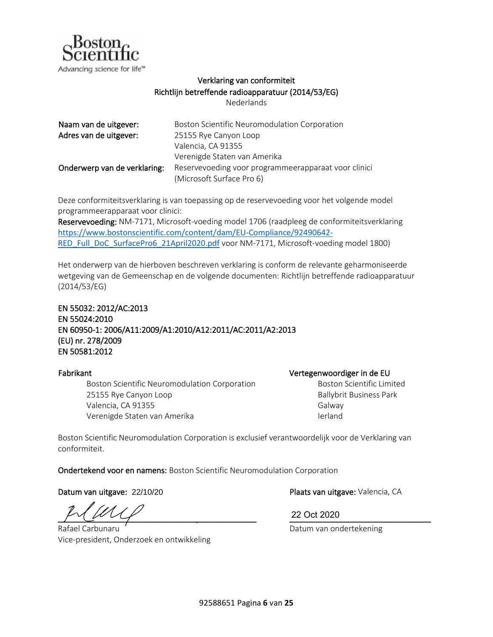

## Verklaring van conformiteit Richtlijn betreffende radioapparatuur (2014/53/EG)

Nederlands

<span id="page-6-0"></span>

| Naam van de uitgever:        | Boston Scientific Neuromodulation Corporation        |
|------------------------------|------------------------------------------------------|
| Adres van de uitgever:       | 25155 Rye Canyon Loop                                |
|                              | Valencia, CA 91355                                   |
|                              | Verenigde Staten van Amerika                         |
| Onderwerp van de verklaring: | Reservevoeding voor programmeerapparaat voor clinici |
|                              | (Microsoft Surface Pro 6)                            |

Deze conformiteitsverklaring is van toepassing op de reservevoeding voor het volgende model programmeerapparaat voor clinici:

Reservevoeding: NM-7171, Microsoft-voeding model 1706 (raadpleeg de conformiteitsverklaring [https://www.bostonscientific.com/content/dam/EU-Compliance/92490642-](https://www.bostonscientific.com/content/dam/EU-Compliance/92490642-RED_Full_DoC_SurfacePro6_21April2020.pdf) [RED\\_Full\\_DoC\\_SurfacePro6\\_21April2020.pdf](https://www.bostonscientific.com/content/dam/EU-Compliance/92490642-RED_Full_DoC_SurfacePro6_21April2020.pdf) voor NM-7171, Microsoft-voeding model 1800)

Het onderwerp van de hierboven beschreven verklaring is conform de relevante geharmoniseerde wetgeving van de Gemeenschap en de volgende documenten: Richtlijn betreffende radioapparatuur (2014/53/EG)

## EN 55032: 2012/AC:2013 EN 55024:2010 EN 60950-1: 2006/A11:2009/A1:2010/A12:2011/AC:2011/A2:2013 (EU) nr. 278/2009 EN 50581:2012

Boston Scientific Neuromodulation Corporation 25155 Rye Canyon Loop Valencia, CA 91355 Verenigde Staten van Amerika

Fabrikant Vertegenwoordiger in de EU Boston Scientific Limited Ballybrit Business Park Galway

Ierland

Boston Scientific Neuromodulation Corporation is exclusief verantwoordelijk voor de Verklaring van conformiteit.

Ondertekend voor en namens: Boston Scientific Neuromodulation Corporation

Datum van uitgave: 22/10/20

 $\frac{1}{2}$   $\frac{1}{2}$   $\frac{1}{2}$   $\frac{1}{2}$   $\frac{1}{2}$   $\frac{1}{2}$   $\frac{1}{2}$   $\frac{1}{2}$   $\frac{1}{2}$   $\frac{1}{2}$   $\frac{1}{2}$   $\frac{1}{2}$   $\frac{1}{2}$   $\frac{1}{2}$   $\frac{1}{2}$   $\frac{1}{2}$   $\frac{1}{2}$   $\frac{1}{2}$   $\frac{1}{2}$   $\frac{1}{2}$   $\frac{1}{2}$   $\frac{1}{2}$ 

Rafael Carbunaru Vice-president, Onderzoek en ontwikkeling

Plaats van uitgave: Valencia, CA

22 Oct 2020

Datum van ondertekening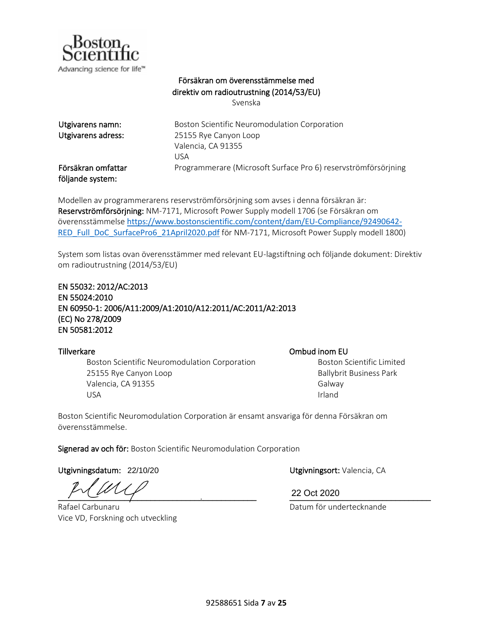

## Försäkran om överensstämmelse med direktiv om radioutrustning (2014/53/EU)

Svenska

| Utgivarens namn:                       | Boston Scientific Neuromodulation Corporation                  |
|----------------------------------------|----------------------------------------------------------------|
| Utgivarens adress:                     | 25155 Rye Canyon Loop                                          |
|                                        | Valencia, CA 91355                                             |
|                                        | USA                                                            |
| Försäkran omfattar<br>följande system: | Programmerare (Microsoft Surface Pro 6) reservströmförsörjning |

Modellen av programmerarens reservströmförsörjning som avses i denna försäkran är: Reservströmförsörjning: NM-7171, Microsoft Power Supply modell 1706 (se Försäkran om överensstämmelse [https://www.bostonscientific.com/content/dam/EU-Compliance/92490642-](https://www.bostonscientific.com/content/dam/EU-Compliance/92490642-RED_Full_DoC_SurfacePro6_21April2020.pdf) [RED\\_Full\\_DoC\\_SurfacePro6\\_21April2020.pdf](https://www.bostonscientific.com/content/dam/EU-Compliance/92490642-RED_Full_DoC_SurfacePro6_21April2020.pdf) för NM-7171, Microsoft Power Supply modell 1800)

System som listas ovan överensstämmer med relevant EU-lagstiftning och följande dokument: Direktiv om radioutrustning (2014/53/EU)

## EN 55032: 2012/AC:2013 EN 55024:2010 EN 60950-1: 2006/A11:2009/A1:2010/A12:2011/AC:2011/A2:2013 (EC) No 278/2009 EN 50581:2012

Boston Scientific Neuromodulation Corporation 25155 Rye Canyon Loop Valencia, CA 91355 USA

### Tillverkare Ombud inom EU

Boston Scientific Limited Ballybrit Business Park Galway Irland

Boston Scientific Neuromodulation Corporation är ensamt ansvariga för denna Försäkran om överensstämmelse.

Signerad av och för: Boston Scientific Neuromodulation Corporation

Utgivningsdatum: 22/10/20

 $\frac{22000200}{\sqrt{25}}$ 

Rafael Carbunaru Vice VD, Forskning och utveckling

Utgivningsort: Valencia, CA

22 Oct 2020

Datum för undertecknande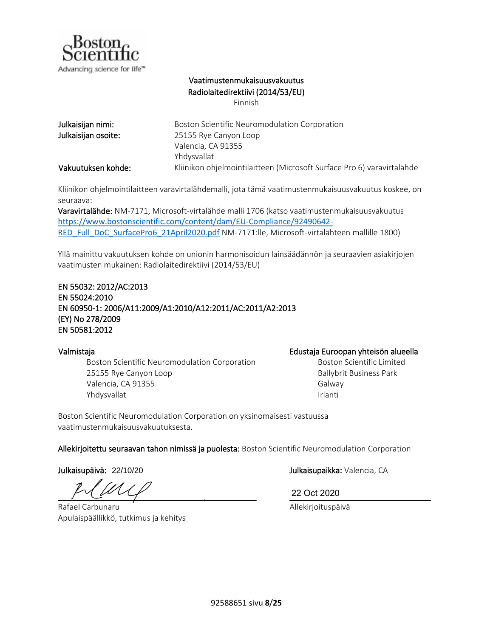

## Vaatimustenmukaisuusvakuutus Radiolaitedirektiivi (2014/53/EU)

Finnish

| Julkaisijan nimi:   | Boston Scientific Neuromodulation Corporation                          |
|---------------------|------------------------------------------------------------------------|
| Julkaisijan osoite: | 25155 Rye Canyon Loop                                                  |
|                     | Valencia, CA 91355                                                     |
|                     | Yhdysvallat                                                            |
| Vakuutuksen kohde:  | Kliinikon ohjelmointilaitteen (Microsoft Surface Pro 6) varavirtalähde |

Kliinikon ohjelmointilaitteen varavirtalähdemalli, jota tämä vaatimustenmukaisuusvakuutus koskee, on seuraava:

Varavirtalähde: NM-7171, Microsoft-virtalähde malli 1706 (katso vaatimustenmukaisuusvakuutus [https://www.bostonscientific.com/content/dam/EU-Compliance/92490642-](https://www.bostonscientific.com/content/dam/EU-Compliance/92490642-RED_Full_DoC_SurfacePro6_21April2020.pdf) [RED\\_Full\\_DoC\\_SurfacePro6\\_21April2020.pdf](https://www.bostonscientific.com/content/dam/EU-Compliance/92490642-RED_Full_DoC_SurfacePro6_21April2020.pdf) NM-7171:lle, Microsoft-virtalähteen mallille 1800)

Yllä mainittu vakuutuksen kohde on unionin harmonisoidun lainsäädännön ja seuraavien asiakirjojen vaatimusten mukainen: Radiolaitedirektiivi (2014/53/EU)

### EN 55032: 2012/AC:2013 EN 55024:2010 EN 60950-1: 2006/A11:2009/A1:2010/A12:2011/AC:2011/A2:2013 (EY) No 278/2009 EN 50581:2012

Boston Scientific Neuromodulation Corporation 25155 Rye Canyon Loop Valencia, CA 91355 Yhdysvallat

### Valmistaja Edustaja Euroopan yhteisön alueella

Boston Scientific Limited Ballybrit Business Park Galway Irlanti

Boston Scientific Neuromodulation Corporation on yksinomaisesti vastuussa vaatimustenmukaisuusvakuutuksesta.

Allekirjoitettu seuraavan tahon nimissä ja puolesta: Boston Scientific Neuromodulation Corporation

Julkaisupäivä: 22/10/20

\_\_\_\_\_\_\_\_\_\_\_\_\_\_\_\_\_\_\_\_\_\_\_\_\_\_\_\_\_\_\_\_\_\_\_\_\_\_\_\_\_\_\_\_\_ \_\_\_\_\_\_\_\_\_\_\_\_\_\_\_\_\_\_\_\_\_\_\_\_\_\_\_\_\_\_\_\_

Rafael Carbunaru Apulaispäällikkö, tutkimus ja kehitys

Julkaisupaikka: Valencia, CA

22 Oct 2020

Allekirjoituspäivä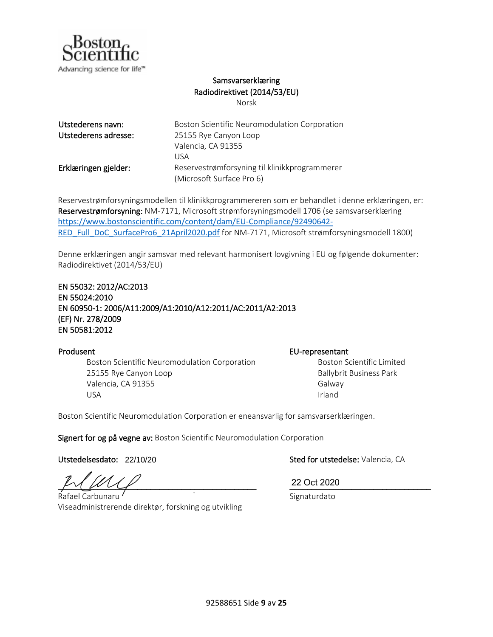

## Samsvarserklæring Radiodirektivet (2014/53/EU)

Norsk

| Utstederens navn:    | Boston Scientific Neuromodulation Corporation |
|----------------------|-----------------------------------------------|
| Utstederens adresse: | 25155 Rye Canyon Loop                         |
|                      | Valencia, CA 91355                            |
|                      | USA                                           |
| Erklæringen gjelder: | Reservestrømforsyning til klinikkprogrammerer |
|                      | (Microsoft Surface Pro 6)                     |

Reservestrømforsyningsmodellen til klinikkprogrammereren som er behandlet i denne erklæringen, er: Reservestrømforsyning: NM-7171, Microsoft strømforsyningsmodell 1706 (se samsvarserklæring [https://www.bostonscientific.com/content/dam/EU-Compliance/92490642-](https://www.bostonscientific.com/content/dam/EU-Compliance/92490642-RED_Full_DoC_SurfacePro6_21April2020.pdf) [RED\\_Full\\_DoC\\_SurfacePro6\\_21April2020.pdf](https://www.bostonscientific.com/content/dam/EU-Compliance/92490642-RED_Full_DoC_SurfacePro6_21April2020.pdf) for NM-7171, Microsoft strømforsyningsmodell 1800)

Denne erklæringen angir samsvar med relevant harmonisert lovgivning i EU og følgende dokumenter: Radiodirektivet (2014/53/EU)

### EN 55032: 2012/AC:2013

EN 55024:2010 EN 60950-1: 2006/A11:2009/A1:2010/A12:2011/AC:2011/A2:2013 (EF) Nr. 278/2009 EN 50581:2012

Boston Scientific Neuromodulation Corporation 25155 Rye Canyon Loop Valencia, CA 91355 USA

### Produsent **EU-representant**

Boston Scientific Limited Ballybrit Business Park Galway Irland

Boston Scientific Neuromodulation Corporation er eneansvarlig for samsvarserklæringen.

Signert for og på vegne av: Boston Scientific Neuromodulation Corporation

Utstedelsesdato: 22/10/20

 $_M$  MU  $_M$ 

Rafael Carbunaru Viseadministrerende direktør, forskning og utvikling

Sted for utstedelse: Valencia, CA

22 Oct 2020

Signaturdato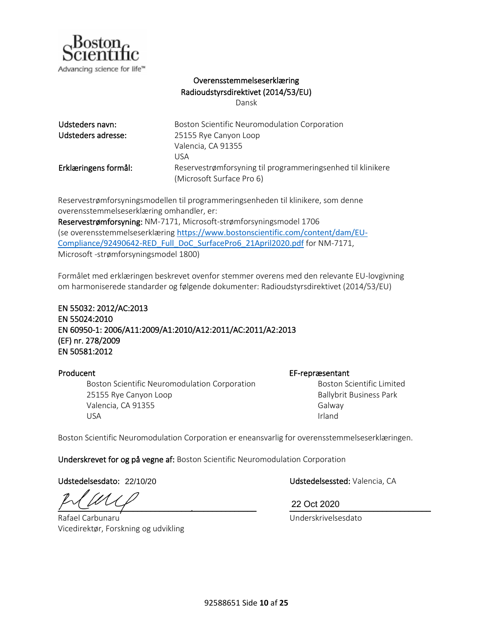

## Overensstemmelseserklæring Radioudstyrsdirektivet (2014/53/EU)

Dansk

| Udsteders navn:      | Boston Scientific Neuromodulation Corporation               |
|----------------------|-------------------------------------------------------------|
| Udsteders adresse:   | 25155 Rye Canyon Loop                                       |
|                      | Valencia, CA 91355                                          |
|                      | USA                                                         |
| Erklæringens formål: | Reservestrømforsyning til programmeringsenhed til klinikere |
|                      | (Microsoft Surface Pro 6)                                   |

Reservestrømforsyningsmodellen til programmeringsenheden til klinikere, som denne overensstemmelseserklæring omhandler, er:

Reservestrømforsyning: NM-7171, Microsoft-strømforsyningsmodel 1706 (se overensstemmelseserklæring [https://www.bostonscientific.com/content/dam/EU-](https://www.bostonscientific.com/content/dam/EU-Compliance/92490642-RED_Full_DoC_SurfacePro6_21April2020.pdf)[Compliance/92490642-RED\\_Full\\_DoC\\_SurfacePro6\\_21April2020.pdf](https://www.bostonscientific.com/content/dam/EU-Compliance/92490642-RED_Full_DoC_SurfacePro6_21April2020.pdf) for NM-7171, Microsoft -strømforsyningsmodel 1800)

Formålet med erklæringen beskrevet ovenfor stemmer overens med den relevante EU-lovgivning om harmoniserede standarder og følgende dokumenter: Radioudstyrsdirektivet (2014/53/EU)

EN 55032: 2012/AC:2013 EN 55024:2010 EN 60950-1: 2006/A11:2009/A1:2010/A12:2011/AC:2011/A2:2013 (EF) nr. 278/2009 EN 50581:2012

Boston Scientific Neuromodulation Corporation 25155 Rye Canyon Loop Valencia, CA 91355 USA

Producent EF-repræsentant

Boston Scientific Limited Ballybrit Business Park Galway Irland

Boston Scientific Neuromodulation Corporation er eneansvarlig for overensstemmelseserklæringen.

Underskrevet for og på vegne af: Boston Scientific Neuromodulation Corporation

Udstedelsesdato: 22/10/20

 $\frac{22 \text{ Oct } 2020}$ 

Rafael Carbunaru Vicedirektør, Forskning og udvikling

Udstedelsessted: Valencia, CA

22 Oct 2020

Underskrivelsesdato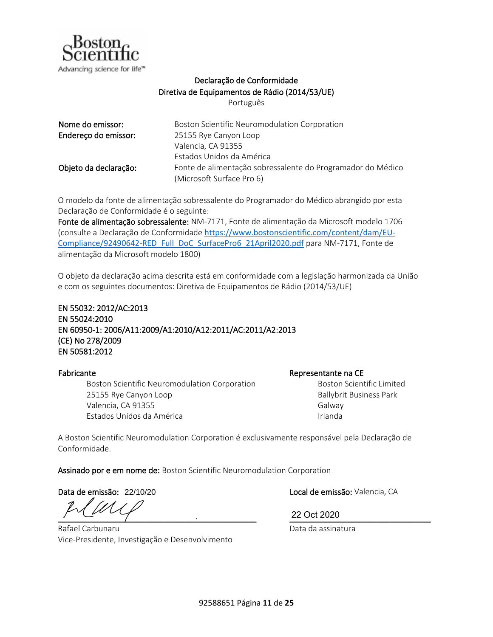

## Declaração de Conformidade Diretiva de Equipamentos de Rádio (2014/53/UE)

Português

| Nome do emissor:      | Boston Scientific Neuromodulation Corporation               |
|-----------------------|-------------------------------------------------------------|
| Endereço do emissor:  | 25155 Rye Canyon Loop                                       |
|                       | Valencia, CA 91355                                          |
|                       | Estados Unidos da América                                   |
| Objeto da declaração: | Fonte de alimentação sobressalente do Programador do Médico |
|                       | (Microsoft Surface Pro 6)                                   |

O modelo da fonte de alimentação sobressalente do Programador do Médico abrangido por esta Declaração de Conformidade é o seguinte:

Fonte de alimentação sobressalente: NM-7171, Fonte de alimentação da Microsoft modelo 1706 (consulte a Declaração de Conformidade [https://www.bostonscientific.com/content/dam/EU-](https://www.bostonscientific.com/content/dam/EU-Compliance/92490642-RED_Full_DoC_SurfacePro6_21April2020.pdf)[Compliance/92490642-RED\\_Full\\_DoC\\_SurfacePro6\\_21April2020.pdf](https://www.bostonscientific.com/content/dam/EU-Compliance/92490642-RED_Full_DoC_SurfacePro6_21April2020.pdf) para NM-7171, Fonte de alimentação da Microsoft modelo 1800)

O objeto da declaração acima descrita está em conformidade com a legislação harmonizada da União e com os seguintes documentos: Diretiva de Equipamentos de Rádio (2014/53/UE)

EN 55032: 2012/AC:2013 EN 55024:2010 EN 60950-1: 2006/A11:2009/A1:2010/A12:2011/AC:2011/A2:2013 (CE) No 278/2009 EN 50581:2012

Boston Scientific Neuromodulation Corporation 25155 Rye Canyon Loop Valencia, CA 91355 Estados Unidos da América

Fabricante **Representante na CE** 

Boston Scientific Limited Ballybrit Business Park Galway Irlanda

A Boston Scientific Neuromodulation Corporation é exclusivamente responsável pela Declaração de Conformidade.

Assinado por e em nome de: Boston Scientific Neuromodulation Corporation

Data de emissão: 22/10/20

 $\frac{22 \text{ OCL ZU2U}}{2}$ 

Rafael Carbunaru Vice-Presidente, Investigação e Desenvolvimento

Local de emissão: Valencia, CA

22 Oct 2020

Data da assinatura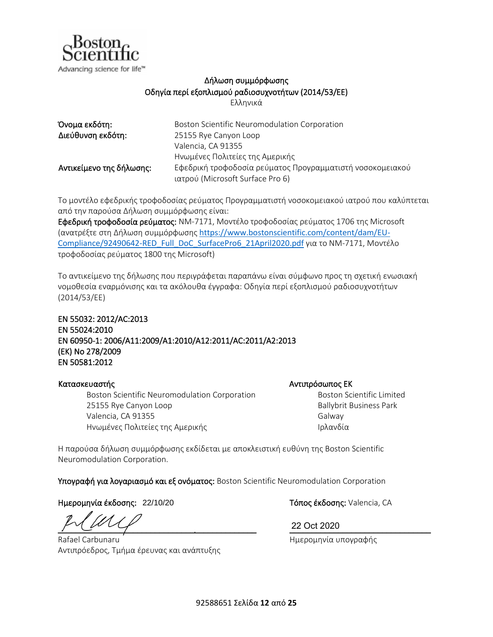

## Δήλωση συμμόρφωσης Οδηγία περί εξοπλισμού ραδιοσυχνοτήτων (2014/53/EΕ)

Ελληνικά

| Όνομα εκδότη:            | Boston Scientific Neuromodulation Corporation             |
|--------------------------|-----------------------------------------------------------|
| Διεύθυνση εκδότη:        | 25155 Rye Canyon Loop                                     |
|                          | Valencia, CA 91355                                        |
|                          | Ηνωμένες Πολιτείες της Αμερικής                           |
| Αντικείμενο της δήλωσης: | Εφεδρική τροφοδοσία ρεύματος Προγραμματιστή νοσοκομειακού |
|                          | ιατρού (Microsoft Surface Pro 6)                          |

Το μοντέλο εφεδρικής τροφοδοσίας ρεύματος Προγραμματιστή νοσοκομειακού ιατρού που καλύπτεται από την παρούσα Δήλωση συμμόρφωσης είναι:

Εφεδρική τροφοδοσία ρεύματος: NM-7171, Μοντέλο τροφοδοσίας ρεύματος 1706 της Microsoft (ανατρέξτε στη Δήλωση συμμόρφωσης [https://www.bostonscientific.com/content/dam/EU-](https://www.bostonscientific.com/content/dam/EU-Compliance/92490642-RED_Full_DoC_SurfacePro6_21April2020.pdf)[Compliance/92490642-RED\\_Full\\_DoC\\_SurfacePro6\\_21April2020.pdf](https://www.bostonscientific.com/content/dam/EU-Compliance/92490642-RED_Full_DoC_SurfacePro6_21April2020.pdf) για το NM-7171, Μοντέλο τροφοδοσίας ρεύματος 1800 της Microsoft)

Το αντικείμενο της δήλωσης που περιγράφεται παραπάνω είναι σύμφωνο προς τη σχετική ενωσιακή νομοθεσία εναρμόνισης και τα ακόλουθα έγγραφα: Οδηγία περί εξοπλισμού ραδιοσυχνοτήτων (2014/53/EΕ)

## EN 55032: 2012/AC:2013 EN 55024:2010 EN 60950-1: 2006/A11:2009/A1:2010/A12:2011/AC:2011/A2:2013 (EΚ) No 278/2009 EN 50581:2012

### Κατασκευαστής Γερμανίας Αντιπρόσωπος ΕΚ

Boston Scientific Neuromodulation Corporation 25155 Rye Canyon Loop Valencia, CA 91355 Ηνωμένες Πολιτείες της Αμερικής

Boston Scientific Limited

Ballybrit Business Park Galway Ιρλανδία

Η παρούσα δήλωση συμμόρφωσης εκδίδεται με αποκλειστική ευθύνη της Boston Scientific Neuromodulation Corporation.

Υπογραφή για λογαριασμό και εξ ονόματος: Boston Scientific Neuromodulation Corporation

Ημερομηνία έκδοσης: Τόπος έκδοσης: Valencia, CA 22/10/20

 $\frac{22 \text{ Oct } 2020}$ 

Rafael Carbunaru Αντιπρόεδρος, Τμήμα έρευνας και ανάπτυξης

22 Oct 2020

Ημερομηνία υπογραφής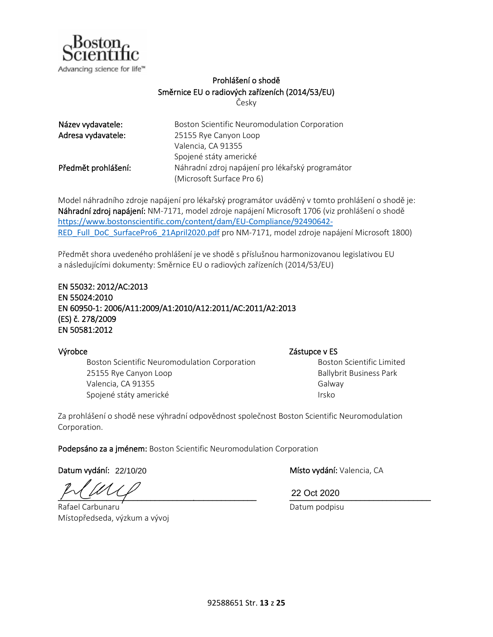

## Prohlášení o shodě Směrnice EU o radiových zařízeních (2014/53/EU)

Česky

<span id="page-13-0"></span>

| Název vydavatele:   | Boston Scientific Neuromodulation Corporation    |
|---------------------|--------------------------------------------------|
| Adresa vydavatele:  | 25155 Rye Canyon Loop                            |
|                     | Valencia, CA 91355                               |
|                     | Spojené státy americké                           |
| Předmět prohlášení: | Náhradní zdroj napájení pro lékařský programátor |
|                     | (Microsoft Surface Pro 6)                        |

Model náhradního zdroje napájení pro lékařský programátor uváděný v tomto prohlášení o shodě je: Náhradní zdroj napájení: NM-7171, model zdroje napájení Microsoft 1706 (viz prohlášení o shodě [https://www.bostonscientific.com/content/dam/EU-Compliance/92490642-](https://www.bostonscientific.com/content/dam/EU-Compliance/92490642-RED_Full_DoC_SurfacePro6_21April2020.pdf) [RED\\_Full\\_DoC\\_SurfacePro6\\_21April2020.pdf](https://www.bostonscientific.com/content/dam/EU-Compliance/92490642-RED_Full_DoC_SurfacePro6_21April2020.pdf) pro NM-7171, model zdroje napájení Microsoft 1800)

Předmět shora uvedeného prohlášení je ve shodě s příslušnou harmonizovanou legislativou EU a následujícími dokumenty: Směrnice EU o radiových zařízeních (2014/53/EU)

EN 55032: 2012/AC:2013 EN 55024:2010 EN 60950-1: 2006/A11:2009/A1:2010/A12:2011/AC:2011/A2:2013 (ES) č. 278/2009 EN 50581:2012

Boston Scientific Neuromodulation Corporation 25155 Rye Canyon Loop Valencia, CA 91355 Spojené státy americké

Výrobce Zástupce v ES

Boston Scientific Limited Ballybrit Business Park Galway Irsko

Za prohlášení o shodě nese výhradní odpovědnost společnost Boston Scientific Neuromodulation Corporation.

Podepsáno za a jménem: Boston Scientific Neuromodulation Corporation

Datum vydání: 22/10/20

\_\_\_\_\_\_\_\_\_\_\_\_\_\_\_\_\_\_\_\_\_\_\_\_\_\_\_\_\_\_\_\_\_\_\_\_\_\_\_\_\_\_\_\_\_ \_\_\_\_\_\_\_\_\_\_\_\_\_\_\_\_\_\_\_\_\_\_\_\_\_\_\_\_\_\_\_\_

Rafael Carbunaru Místopředseda, výzkum a vývoj

Místo vydání: Valencia, CA

22 Oct 2020

Datum podpisu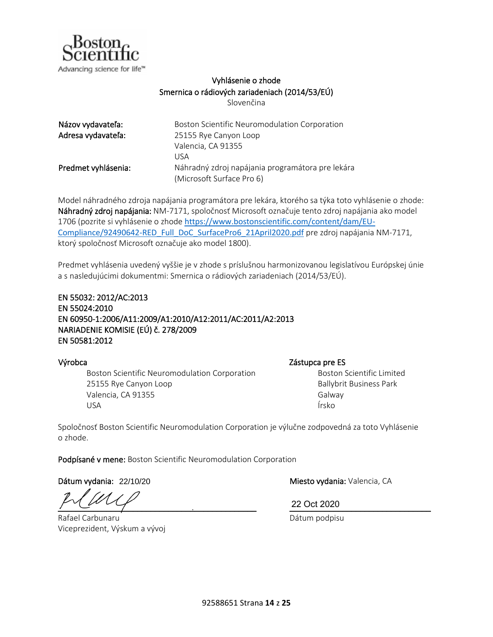

## Vyhlásenie o zhode Smernica o rádiových zariadeniach (2014/53/EÚ)

Slovenčina

| Názov vydavateľa:   | Boston Scientific Neuromodulation Corporation    |
|---------------------|--------------------------------------------------|
| Adresa vydavateľa:  | 25155 Rye Canyon Loop                            |
|                     | Valencia, CA 91355                               |
|                     | LISA                                             |
| Predmet vyhlásenia: | Náhradný zdroj napájania programátora pre lekára |
|                     | (Microsoft Surface Pro 6)                        |

Model náhradného zdroja napájania programátora pre lekára, ktorého sa týka toto vyhlásenie o zhode: Náhradný zdroj napájania: NM-7171, spoločnosť Microsoft označuje tento zdroj napájania ako model 1706 (pozrite si vyhlásenie o zhode [https://www.bostonscientific.com/content/dam/EU-](https://www.bostonscientific.com/content/dam/EU-Compliance/92490642-RED_Full_DoC_SurfacePro6_21April2020.pdf)[Compliance/92490642-RED\\_Full\\_DoC\\_SurfacePro6\\_21April2020.pdf](https://www.bostonscientific.com/content/dam/EU-Compliance/92490642-RED_Full_DoC_SurfacePro6_21April2020.pdf) pre zdroj napájania NM-7171, ktorý spoločnosť Microsoft označuje ako model 1800).

Predmet vyhlásenia uvedený vyššie je v zhode s príslušnou harmonizovanou legislatívou Európskej únie a s nasledujúcimi dokumentmi: Smernica o rádiových zariadeniach (2014/53/EÚ).

EN 55032: 2012/AC:2013 EN 55024:2010 EN 60950-1:2006/A11:2009/A1:2010/A12:2011/AC:2011/A2:2013 NARIADENIE KOMISIE (EÚ) č. 278/2009 EN 50581:2012

Boston Scientific Neuromodulation Corporation 25155 Rye Canyon Loop Valencia, CA 91355 USA

### Výrobca za zástupca pre ES

Boston Scientific Limited Ballybrit Business Park Galway Írsko

Spoločnosť Boston Scientific Neuromodulation Corporation je výlučne zodpovedná za toto Vyhlásenie o zhode.

Podpísané v mene: Boston Scientific Neuromodulation Corporation

Dátum vydania: 22/10/20

 $\frac{22 \text{ Oct } 2020}$ 

Rafael Carbunaru Viceprezident, Výskum a vývoj

Miesto vydania: Valencia, CA

22 Oct 2020

Dátum podpisu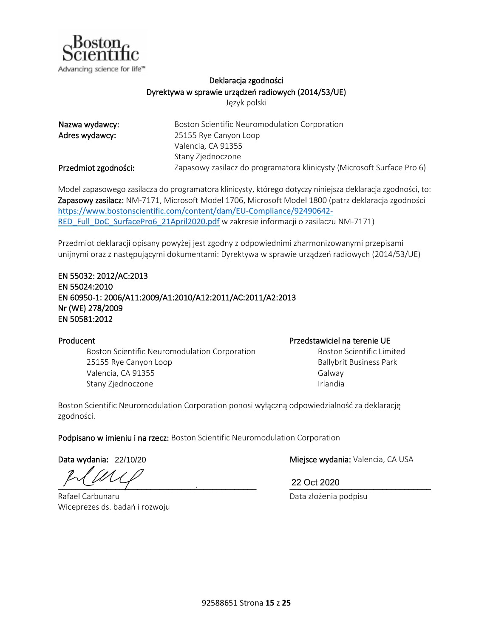

## Deklaracja zgodności Dyrektywa w sprawie urządzeń radiowych (2014/53/UE)

Język polski

| Nazwa wydawcy:       | Boston Scientific Neuromodulation Corporation                          |
|----------------------|------------------------------------------------------------------------|
| Adres wydawcy:       | 25155 Rye Canyon Loop                                                  |
|                      | Valencia, CA 91355                                                     |
|                      | Stany Zjednoczone                                                      |
| Przedmiot zgodności: | Zapasowy zasilacz do programatora klinicysty (Microsoft Surface Pro 6) |

Model zapasowego zasilacza do programatora klinicysty, którego dotyczy niniejsza deklaracja zgodności, to: Zapasowy zasilacz: NM-7171, Microsoft Model 1706, Microsoft Model 1800 (patrz deklaracja zgodności [https://www.bostonscientific.com/content/dam/EU-Compliance/92490642-](https://www.bostonscientific.com/content/dam/EU-Compliance/92490642-RED_Full_DoC_SurfacePro6_21April2020.pdf) [RED\\_Full\\_DoC\\_SurfacePro6\\_21April2020.pdf](https://www.bostonscientific.com/content/dam/EU-Compliance/92490642-RED_Full_DoC_SurfacePro6_21April2020.pdf) w zakresie informacji o zasilaczu NM-7171)

Przedmiot deklaracji opisany powyżej jest zgodny z odpowiednimi zharmonizowanymi przepisami unijnymi oraz z następującymi dokumentami: Dyrektywa w sprawie urządzeń radiowych (2014/53/UE)

### EN 55032: 2012/AC:2013 EN 55024:2010 EN 60950-1: 2006/A11:2009/A1:2010/A12:2011/AC:2011/A2:2013 Nr (WE) 278/2009 EN 50581:2012

Boston Scientific Neuromodulation Corporation 25155 Rye Canyon Loop Valencia, CA 91355 Stany Zjednoczone

## Producent **Producent** Producent **Producent** Producent **Producent** Producent **Producent** Producent **Producent** Producent **Producent** Producent **Producent** Producent **Producent** Producent **Producent** Producent **Producent** Pr

Boston Scientific Limited Ballybrit Business Park Galway Irlandia

Boston Scientific Neuromodulation Corporation ponosi wyłączną odpowiedzialność za deklarację zgodności.

Podpisano w imieniu i na rzecz: Boston Scientific Neuromodulation Corporation

Data wydania: 22/10/20

 $\frac{22 \text{ Oct } 2020}$ 

Rafael Carbunaru Wiceprezes ds. badań i rozwoju

Miejsce wydania: Valencia, CA USA

22 Oct 2020

Data złożenia podpisu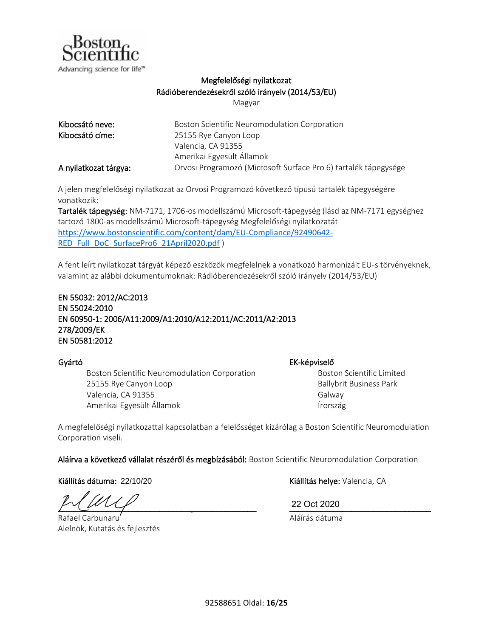

## Megfelelőségi nyilatkozat Rádióberendezésekről szóló irányelv (2014/53/EU)

Magyar

| Kibocsátó neve:       | Boston Scientific Neuromodulation Corporation                   |
|-----------------------|-----------------------------------------------------------------|
| Kibocsátó címe:       | 25155 Rye Canyon Loop                                           |
|                       | Valencia, CA 91355                                              |
|                       | Amerikai Egyesült Államok                                       |
| A nyilatkozat tárgya: | Orvosi Programozó (Microsoft Surface Pro 6) tartalék tápegysége |

A jelen megfelelőségi nyilatkozat az Orvosi Programozó következő típusú tartalék tápegységére vonatkozik:

Tartalék tápegység: NM-7171, 1706-os modellszámú Microsoft-tápegység (lásd az NM-7171 egységhez tartozó 1800-as modellszámú Microsoft-tápegység Megfelelőségi nyilatkozatát [https://www.bostonscientific.com/content/dam/EU-Compliance/92490642-](https://www.bostonscientific.com/content/dam/EU-Compliance/92490642-RED_Full_DoC_SurfacePro6_21April2020.pdf) [RED\\_Full\\_DoC\\_SurfacePro6\\_21April2020.pdf](https://www.bostonscientific.com/content/dam/EU-Compliance/92490642-RED_Full_DoC_SurfacePro6_21April2020.pdf) )

A fent leírt nyilatkozat tárgyát képező eszközök megfelelnek a vonatkozó harmonizált EU-s törvényeknek, valamint az alábbi dokumentumoknak: Rádióberendezésekről szóló irányelv (2014/53/EU)

## EN 55032: 2012/AC:2013 EN 55024:2010 EN 60950-1: 2006/A11:2009/A1:2010/A12:2011/AC:2011/A2:2013 278/2009/EK EN 50581:2012

Boston Scientific Neuromodulation Corporation 25155 Rye Canyon Loop Valencia, CA 91355 Amerikai Egyesült Államok

Gyártó EK-képviselő

Boston Scientific Limited Ballybrit Business Park Galway Írország

A megfelelőségi nyilatkozattal kapcsolatban a felelősséget kizárólag a Boston Scientific Neuromodulation Corporation viseli.

Aláírva a következő vállalat részéről és megbízásából: Boston Scientific Neuromodulation Corporation

Kiállítás dátuma: 22/10/20

\_\_\_\_\_\_\_\_\_\_\_\_\_\_\_\_\_\_\_\_\_\_\_\_\_\_\_\_\_\_\_\_\_\_\_\_\_\_\_\_\_\_\_\_\_ \_\_\_\_\_\_\_\_\_\_\_\_\_\_\_\_\_\_\_\_\_\_\_\_\_\_\_\_\_\_\_\_

Rafael Carbunaru Alelnök, Kutatás és fejlesztés

Kiállítás helye: Valencia, CA

22 Oct 2020

Aláírás dátuma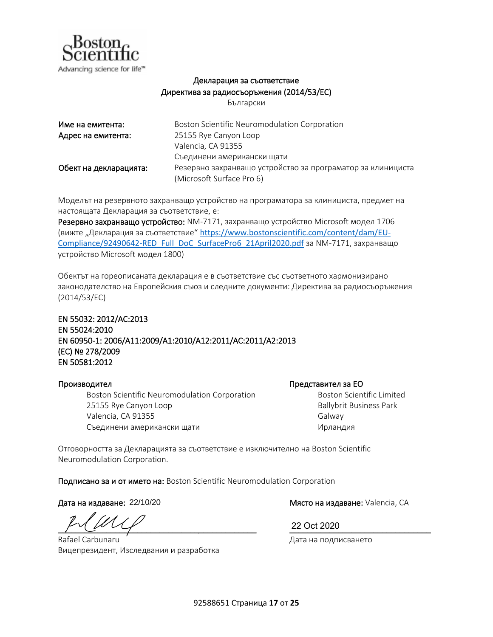

## Декларация за съответствие Директива за радиосъоръжения (2014/53/ЕС)

Български

| Име на емитента:       | Boston Scientific Neuromodulation Corporation               |
|------------------------|-------------------------------------------------------------|
| Адрес на емитента:     | 25155 Rye Canyon Loop                                       |
|                        | Valencia, CA 91355                                          |
|                        | Съединени американски щати                                  |
| Обект на декларацията: | Резервно захранващо устройство за програматор за клинициста |
|                        | (Microsoft Surface Pro 6)                                   |

Моделът на резервното захранващо устройство на програматора за клинициста, предмет на настоящата Декларация за съответствие, е:

Резервно захранващо устройство: NM-7171, захранващо устройство Microsoft модел 1706 (вижте "Декларация за съответствие" [https://www.bostonscientific.com/content/dam/EU-](https://www.bostonscientific.com/content/dam/EU-Compliance/92490642-RED_Full_DoC_SurfacePro6_21April2020.pdf)[Compliance/92490642-RED\\_Full\\_DoC\\_SurfacePro6\\_21April2020.pdf](https://www.bostonscientific.com/content/dam/EU-Compliance/92490642-RED_Full_DoC_SurfacePro6_21April2020.pdf) за NM-7171, захранващо устройство Microsoft модел 1800)

Обектът на гореописаната декларация е в съответствие със съответното хармонизирано законодателство на Европейския съюз и следните документи: Директива за радиосъоръжения (2014/53/ЕС)

EN 55032: 2012/AC:2013 EN 55024:2010 EN 60950-1: 2006/A11:2009/A1:2010/A12:2011/AC:2011/A2:2013 (ЕС) № 278/2009 EN 50581:2012

### Производител Представител за ЕО

Boston Scientific Neuromodulation Corporation 25155 Rye Canyon Loop Valencia, CA 91355 Съединени американски щати

Boston Scientific Limited Ballybrit Business Park Galway Ирландия

Отговорността за Декларацията за съответствие е изключително на Boston Scientific Neuromodulation Corporation.

Подписано за и от името на: Boston Scientific Neuromodulation Corporation

Дата на издаване: 22/10/20

\_\_\_\_\_\_\_\_\_\_\_\_\_\_\_\_\_\_\_\_\_\_\_\_\_\_\_\_\_\_\_\_\_\_\_\_\_\_\_\_\_\_\_\_\_ \_\_\_\_\_\_\_\_\_\_\_\_\_\_\_\_\_\_\_\_\_\_\_\_\_\_\_\_\_\_\_\_

Rafael Carbunaru Вицепрезидент, Изследвания и разработка

Място на издаване: Valencia, CA

22 Oct 2020

Дата на подписването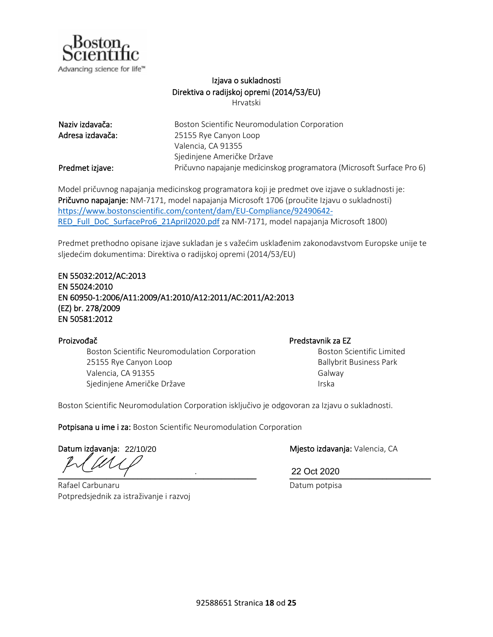

### Izjava o sukladnosti Direktiva o radijskoj opremi (2014/53/EU) Hrvatski

| Naziv izdavača:  | Boston Scientific Neuromodulation Corporation                         |
|------------------|-----------------------------------------------------------------------|
| Adresa izdavača: | 25155 Rye Canyon Loop                                                 |
|                  | Valencia, CA 91355                                                    |
|                  | Sjedinjene Američke Države                                            |
| Predmet izjave:  | Pričuvno napajanje medicinskog programatora (Microsoft Surface Pro 6) |

Model pričuvnog napajanja medicinskog programatora koji je predmet ove izjave o sukladnosti je: Pričuvno napajanje: NM-7171, model napajanja Microsoft 1706 (proučite Izjavu o sukladnosti) [https://www.bostonscientific.com/content/dam/EU-Compliance/92490642-](https://www.bostonscientific.com/content/dam/EU-Compliance/92490642-RED_Full_DoC_SurfacePro6_21April2020.pdf) [RED\\_Full\\_DoC\\_SurfacePro6\\_21April2020.pdf](https://www.bostonscientific.com/content/dam/EU-Compliance/92490642-RED_Full_DoC_SurfacePro6_21April2020.pdf) za NM-7171, model napajanja Microsoft 1800)

Predmet prethodno opisane izjave sukladan je s važećim usklađenim zakonodavstvom Europske unije te sljedećim dokumentima: Direktiva o radijskoj opremi (2014/53/EU)

### EN 55032:2012/AC:2013 EN 55024:2010 EN 60950-1:2006/A11:2009/A1:2010/A12:2011/AC:2011/A2:2013 (EZ) br. 278/2009 EN 50581:2012

## Proizvođač **Proizvođač** Predstavnik za EZ Boston Scientific Neuromodulation Corporation 25155 Rye Canyon Loop Valencia, CA 91355 Sjedinjene Američke Države

Boston Scientific Limited Ballybrit Business Park Galway Irska

Boston Scientific Neuromodulation Corporation isključivo je odgovoran za Izjavu o sukladnosti.

Potpisana u ime i za: Boston Scientific Neuromodulation Corporation

Datum izdavanja: 22/10/20

 $\frac{22 \text{ OCL ZU2U}}{1}$ 

Rafael Carbunaru Potpredsjednik za istraživanje i razvoj

Mjesto izdavanja: Valencia, CA

22 Oct 2020

Datum potpisa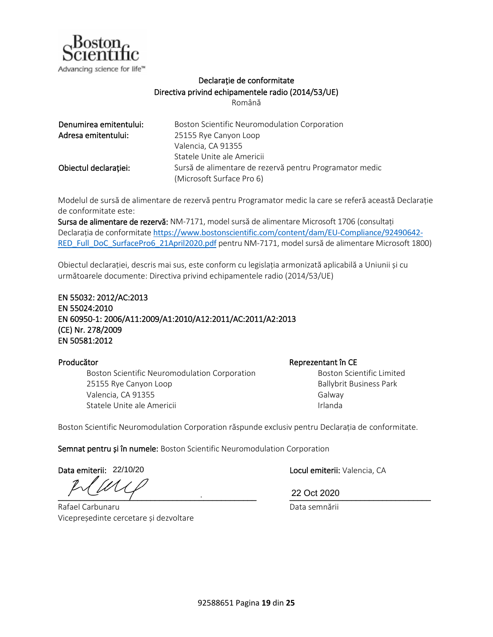

## Declarație de conformitate Directiva privind echipamentele radio (2014/53/UE)

Română

| Denumirea emitentului: | Boston Scientific Neuromodulation Corporation           |
|------------------------|---------------------------------------------------------|
| Adresa emitentului:    | 25155 Rye Canyon Loop                                   |
|                        | Valencia, CA 91355                                      |
|                        | Statele Unite ale Americii                              |
| Obiectul declarației:  | Sursă de alimentare de rezervă pentru Programator medic |
|                        | (Microsoft Surface Pro 6)                               |

Modelul de sursă de alimentare de rezervă pentru Programator medic la care se referă această Declarație de conformitate este:

Sursa de alimentare de rezervă: NM-7171, model sursă de alimentare Microsoft 1706 (consultați Declarația de conformitate [https://www.bostonscientific.com/content/dam/EU-Compliance/92490642-](https://www.bostonscientific.com/content/dam/EU-Compliance/92490642-RED_Full_DoC_SurfacePro6_21April2020.pdf) [RED\\_Full\\_DoC\\_SurfacePro6\\_21April2020.pdf](https://www.bostonscientific.com/content/dam/EU-Compliance/92490642-RED_Full_DoC_SurfacePro6_21April2020.pdf) pentru NM-7171, model sursă de alimentare Microsoft 1800)

Obiectul declarației, descris mai sus, este conform cu legislația armonizată aplicabilă a Uniunii și cu următoarele documente: Directiva privind echipamentele radio (2014/53/UE)

EN 55032: 2012/AC:2013 EN 55024:2010 EN 60950-1: 2006/A11:2009/A1:2010/A12:2011/AC:2011/A2:2013 (CE) Nr. 278/2009 EN 50581:2012

Boston Scientific Neuromodulation Corporation 25155 Rye Canyon Loop Valencia, CA 91355 Statele Unite ale Americii

Producător **Reprezentant în CE** 

Boston Scientific Limited Ballybrit Business Park Galway Irlanda

Boston Scientific Neuromodulation Corporation răspunde exclusiv pentru Declarația de conformitate.

Semnat pentru și în numele: Boston Scientific Neuromodulation Corporation

Data emiterii: 22/10/20

\_\_\_\_\_\_\_\_\_\_\_\_\_\_\_\_\_\_\_\_\_\_\_\_\_\_\_\_\_\_\_\_\_\_\_\_\_\_\_\_\_\_\_\_\_ \_\_\_\_\_\_\_\_\_\_\_\_\_\_\_\_\_\_\_\_\_\_\_\_\_\_\_\_\_\_\_\_

Rafael Carbunaru Vicepreședinte cercetare și dezvoltare Locul emiterii: Valencia, CA

22 Oct 2020

Data semnării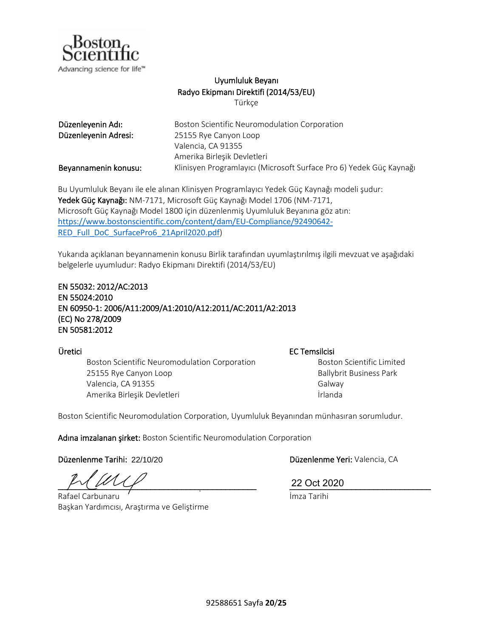

## Uyumluluk Beyanı Radyo Ekipmanı Direktifi (2014/53/EU)

Türkçe

<span id="page-20-0"></span>

| Düzenleyenin Adı:    | Boston Scientific Neuromodulation Corporation                       |
|----------------------|---------------------------------------------------------------------|
| Düzenleyenin Adresi: | 25155 Rye Canyon Loop                                               |
|                      | Valencia, CA 91355                                                  |
|                      | Amerika Birleşik Devletleri                                         |
| Beyannamenin konusu: | Klinisyen Programlayıcı (Microsoft Surface Pro 6) Yedek Güç Kaynağı |

Bu Uyumluluk Beyanı ile ele alınan Klinisyen Programlayıcı Yedek Güç Kaynağı modeli şudur: Yedek Güç Kaynağı: NM-7171, Microsoft Güç Kaynağı Model 1706 (NM-7171, Microsoft Güç Kaynağı Model 1800 için düzenlenmiş Uyumluluk Beyanına göz atın: [https://www.bostonscientific.com/content/dam/EU-Compliance/92490642-](https://www.bostonscientific.com/content/dam/EU-Compliance/92490642-RED_Full_DoC_SurfacePro6_21April2020.pdf) [RED\\_Full\\_DoC\\_SurfacePro6\\_21April2020.pdf](https://www.bostonscientific.com/content/dam/EU-Compliance/92490642-RED_Full_DoC_SurfacePro6_21April2020.pdf))

Yukarıda açıklanan beyannamenin konusu Birlik tarafından uyumlaştırılmış ilgili mevzuat ve aşağıdaki belgelerle uyumludur: Radyo Ekipmanı Direktifi (2014/53/EU)

### EN 55032: 2012/AC:2013 EN 55024:2010 EN 60950-1: 2006/A11:2009/A1:2010/A12:2011/AC:2011/A2:2013 (EC) No 278/2009 EN 50581:2012

Boston Scientific Neuromodulation Corporation 25155 Rye Canyon Loop Valencia, CA 91355 Amerika Birleşik Devletleri

Üretici EC Temsilcisi

Boston Scientific Limited Ballybrit Business Park Galway İrlanda

Boston Scientific Neuromodulation Corporation, Uyumluluk Beyanından münhasıran sorumludur.

Adına imzalanan şirket: Boston Scientific Neuromodulation Corporation

Düzenlenme Tarihi: 22/10/20

\_\_\_\_\_\_\_\_\_\_\_\_\_\_\_\_\_\_\_\_\_\_\_\_\_\_\_\_\_\_\_\_\_\_\_\_\_\_\_\_\_\_\_\_\_ \_\_\_\_\_\_\_\_\_\_\_\_\_\_\_\_\_\_\_\_\_\_\_\_\_\_\_\_\_\_\_\_

Rafael Carbunaru Başkan Yardımcısı, Araştırma ve Geliştirme

Düzenlenme Yeri: Valencia, CA

22 Oct 2020

İmza Tarihi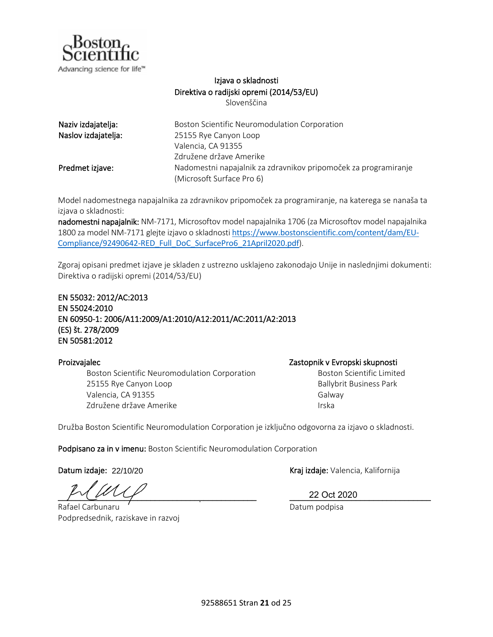

## Izjava o skladnosti Direktiva o radijski opremi (2014/53/EU)

Slovenščina

| Naziv izdajatelja:  | Boston Scientific Neuromodulation Corporation                   |
|---------------------|-----------------------------------------------------------------|
| Naslov izdajatelja: | 25155 Rye Canyon Loop                                           |
|                     | Valencia, CA 91355                                              |
|                     | Združene države Amerike                                         |
| Predmet izjave:     | Nadomestni napajalnik za zdravnikov pripomoček za programiranje |
|                     | (Microsoft Surface Pro 6)                                       |

Model nadomestnega napajalnika za zdravnikov pripomoček za programiranje, na katerega se nanaša ta izjava o skladnosti:

nadomestni napajalnik: NM-7171, Microsoftov model napajalnika 1706 (za Microsoftov model napajalnika 1800 za model NM-7171 glejte izjavo o skladnosti [https://www.bostonscientific.com/content/dam/EU-](https://www.bostonscientific.com/content/dam/EU-Compliance/92490642-RED_Full_DoC_SurfacePro6_21April2020.pdf)[Compliance/92490642-RED\\_Full\\_DoC\\_SurfacePro6\\_21April2020.pdf](https://www.bostonscientific.com/content/dam/EU-Compliance/92490642-RED_Full_DoC_SurfacePro6_21April2020.pdf)).

Zgoraj opisani predmet izjave je skladen z ustrezno usklajeno zakonodajo Unije in naslednjimi dokumenti: Direktiva o radijski opremi (2014/53/EU)

EN 55032: 2012/AC:2013 EN 55024:2010 EN 60950-1: 2006/A11:2009/A1:2010/A12:2011/AC:2011/A2:2013 (ES) št. 278/2009 EN 50581:2012

Boston Scientific Neuromodulation Corporation 25155 Rye Canyon Loop Valencia, CA 91355 Združene države Amerike

Proizvajalec Zastopnik v Evropski skupnosti

Boston Scientific Limited Ballybrit Business Park Galway Irska

Družba Boston Scientific Neuromodulation Corporation je izključno odgovorna za izjavo o skladnosti.

Podpisano za in v imenu: Boston Scientific Neuromodulation Corporation

Datum izdaje: 22/10/20

 $P' \cup P' \cup P'$  22 Oct 2020

Rafael Carbunaru Podpredsednik, raziskave in razvoj

Kraj izdaje: Valencia, Kalifornija

22 Oct 2020

Datum podpisa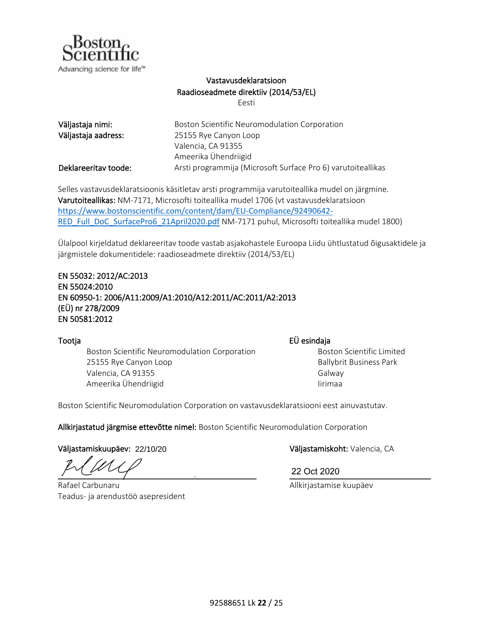

## Vastavusdeklaratsioon Raadioseadmete direktiiv (2014/53/EL)

Eesti

| Väljastaja nimi:     | Boston Scientific Neuromodulation Corporation                |
|----------------------|--------------------------------------------------------------|
| Väljastaja aadress:  | 25155 Rye Canyon Loop                                        |
|                      | Valencia, CA 91355                                           |
|                      | Ameerika Ühendriigid                                         |
| Deklareeritav toode: | Arsti programmija (Microsoft Surface Pro 6) varutoiteallikas |

Selles vastavusdeklaratsioonis käsitletav arsti programmija varutoiteallika mudel on järgmine. Varutoiteallikas: NM-7171, Microsofti toiteallika mudel 1706 (vt vastavusdeklaratsioon [https://www.bostonscientific.com/content/dam/EU-Compliance/92490642-](https://www.bostonscientific.com/content/dam/EU-Compliance/92490642-RED_Full_DoC_SurfacePro6_21April2020.pdf) [RED\\_Full\\_DoC\\_SurfacePro6\\_21April2020.pdf](https://www.bostonscientific.com/content/dam/EU-Compliance/92490642-RED_Full_DoC_SurfacePro6_21April2020.pdf) NM-7171 puhul, Microsofti toiteallika mudel 1800)

Ülalpool kirjeldatud deklareeritav toode vastab asjakohastele Euroopa Liidu ühtlustatud õigusaktidele ja järgmistele dokumentidele: raadioseadmete direktiiv (2014/53/EL)

### EN 55032: 2012/AC:2013 EN 55024:2010 EN 60950-1: 2006/A11:2009/A1:2010/A12:2011/AC:2011/A2:2013 (EÜ) nr 278/2009 EN 50581:2012

Tootja EÜ esindaja Boston Scientific Neuromodulation Corporation 25155 Rye Canyon Loop Valencia, CA 91355 Ameerika Ühendriigid

Boston Scientific Limited Ballybrit Business Park Galway

Boston Scientific Neuromodulation Corporation on vastavusdeklaratsiooni eest ainuvastutav.

Allkirjastatud järgmise ettevõtte nimel: Boston Scientific Neuromodulation Corporation

Väljastamiskuupäev: Väljastamiskoht: Valencia, CA 22/10/20

\_\_\_\_\_\_\_\_\_\_\_\_\_\_\_\_\_\_\_\_\_\_\_\_\_\_\_\_\_\_\_\_\_\_\_\_\_\_\_\_\_\_\_\_\_ \_\_\_\_\_\_\_\_\_\_\_\_\_\_\_\_\_\_\_\_\_\_\_\_\_\_\_\_\_\_\_\_

Rafael Carbunaru Teadus- ja arendustöö asepresident

22 Oct 2020

Allkirjastamise kuupäev

Iirimaa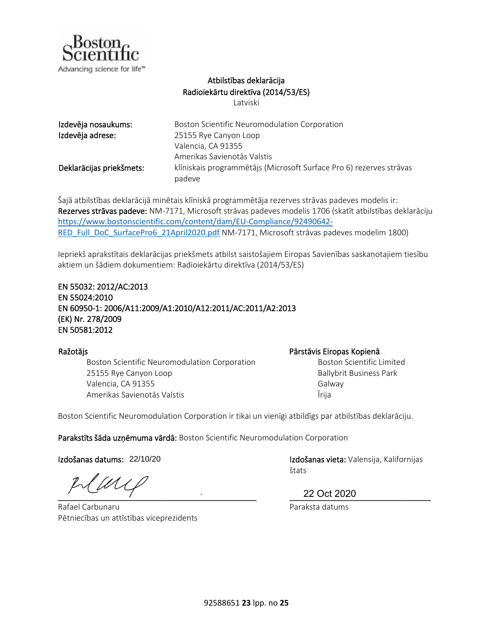

## Atbilstības deklarācija Radioiekārtu direktīva (2014/53/ES)

Latviski

| Izdevēja nosaukums:      | Boston Scientific Neuromodulation Corporation                                 |
|--------------------------|-------------------------------------------------------------------------------|
| Izdevēja adrese:         | 25155 Rye Canyon Loop                                                         |
|                          | Valencia, CA 91355                                                            |
|                          | Amerikas Savienotās Valstis                                                   |
| Deklarācijas priekšmets: | klīniskais programmētājs (Microsoft Surface Pro 6) rezerves strāvas<br>padeve |

Šajā atbilstības deklarācijā minētais klīniskā programmētāja rezerves strāvas padeves modelis ir: Rezerves strāvas padeve: NM-7171, Microsoft strāvas padeves modelis 1706 (skatīt atbilstības deklarāciju [https://www.bostonscientific.com/content/dam/EU-Compliance/92490642-](https://www.bostonscientific.com/content/dam/EU-Compliance/92490642-RED_Full_DoC_SurfacePro6_21April2020.pdf) [RED\\_Full\\_DoC\\_SurfacePro6\\_21April2020.pdf](https://www.bostonscientific.com/content/dam/EU-Compliance/92490642-RED_Full_DoC_SurfacePro6_21April2020.pdf) NM-7171, Microsoft strāvas padeves modelim 1800)

Iepriekš aprakstītais deklarācijas priekšmets atbilst saistošajiem Eiropas Savienības saskaņotajiem tiesību aktiem un šādiem dokumentiem: Radioiekārtu direktīva (2014/53/ES)

### EN 55032: 2012/AC:2013 EN 55024:2010 EN 60950-1: 2006/A11:2009/A1:2010/A12:2011/AC:2011/A2:2013 (EK) Nr. 278/2009 EN 50581:2012

Boston Scientific Neuromodulation Corporation 25155 Rye Canyon Loop Valencia, CA 91355 Amerikas Savienotās Valstis

### Ražotājs Pārstāvis Eiropas Kopienā

Boston Scientific Limited Ballybrit Business Park Galway Īrija

Boston Scientific Neuromodulation Corporation ir tikai un vienīgi atbildīgs par atbilstības deklarāciju.

Parakstīts šāda uzņēmuma vārdā: Boston Scientific Neuromodulation Corporation

Izdošanas datums: 22/10/20

WL  $\frac{22 \text{ Oct } 2020}$ 

Rafael Carbunaru Pētniecības un attīstības viceprezidents

Izdošanas vieta: Valensija, Kalifornijas štats

22 Oct 2020

Paraksta datums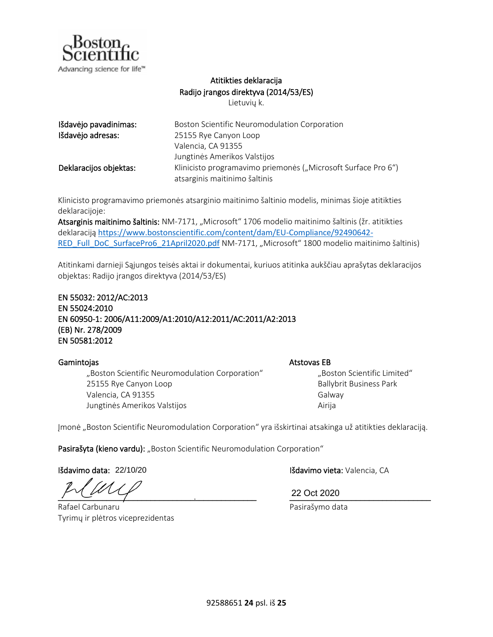

## Atitikties deklaracija Radijo įrangos direktyva (2014/53/ES)

Lietuvių k.

| Išdavėjo pavadinimas:  | Boston Scientific Neuromodulation Corporation                 |
|------------------------|---------------------------------------------------------------|
| Išdavėjo adresas:      | 25155 Rye Canyon Loop                                         |
|                        | Valencia, CA 91355                                            |
|                        | Jungtinės Amerikos Valstijos                                  |
| Deklaracijos objektas: | Klinicisto programavimo priemonės ("Microsoft Surface Pro 6") |
|                        | atsarginis maitinimo šaltinis                                 |

Klinicisto programavimo priemonės atsarginio maitinimo šaltinio modelis, minimas šioje atitikties deklaracijoje:

Atsarginis maitinimo šaltinis: NM-7171, "Microsoft" 1706 modelio maitinimo šaltinis (žr. atitikties deklaraciją [https://www.bostonscientific.com/content/dam/EU-Compliance/92490642-](https://www.bostonscientific.com/content/dam/EU-Compliance/92490642-RED_Full_DoC_SurfacePro6_21April2020.pdf) [RED\\_Full\\_DoC\\_SurfacePro6\\_21April2020.pdf](https://www.bostonscientific.com/content/dam/EU-Compliance/92490642-RED_Full_DoC_SurfacePro6_21April2020.pdf) NM-7171, "Microsoft" 1800 modelio maitinimo šaltinis)

Atitinkami darnieji Sąjungos teisės aktai ir dokumentai, kuriuos atitinka aukščiau aprašytas deklaracijos objektas: Radijo įrangos direktyva (2014/53/ES)

EN 55032: 2012/AC:2013 EN 55024:2010 EN 60950-1: 2006/A11:2009/A1:2010/A12:2011/AC:2011/A2:2013 (EB) Nr. 278/2009 EN 50581:2012

"Boston Scientific Neuromodulation Corporation" 25155 Rye Canyon Loop Valencia, CA 91355 Jungtinės Amerikos Valstijos

Gamintojas **Atstovas EB** 

"Boston Scientific Limited" Ballybrit Business Park Galway Airija

Įmonė "Boston Scientific Neuromodulation Corporation" yra išskirtinai atsakinga už atitikties deklaraciją.

Pasirašyta (kieno vardu): "Boston Scientific Neuromodulation Corporation"

Išdavimo data: 22/10/20

\_\_\_\_\_\_\_\_\_\_\_\_\_\_\_\_\_\_\_\_\_\_\_\_\_\_\_\_\_\_\_\_\_\_\_\_\_\_\_\_\_\_\_\_\_ \_\_\_\_\_\_\_\_\_\_\_\_\_\_\_\_\_\_\_\_\_\_\_\_\_\_\_\_\_\_\_\_

Rafael Carbunaru Tyrimų ir plėtros viceprezidentas

Išdavimo vieta: Valencia, CA

22 Oct 2020

Pasirašymo data